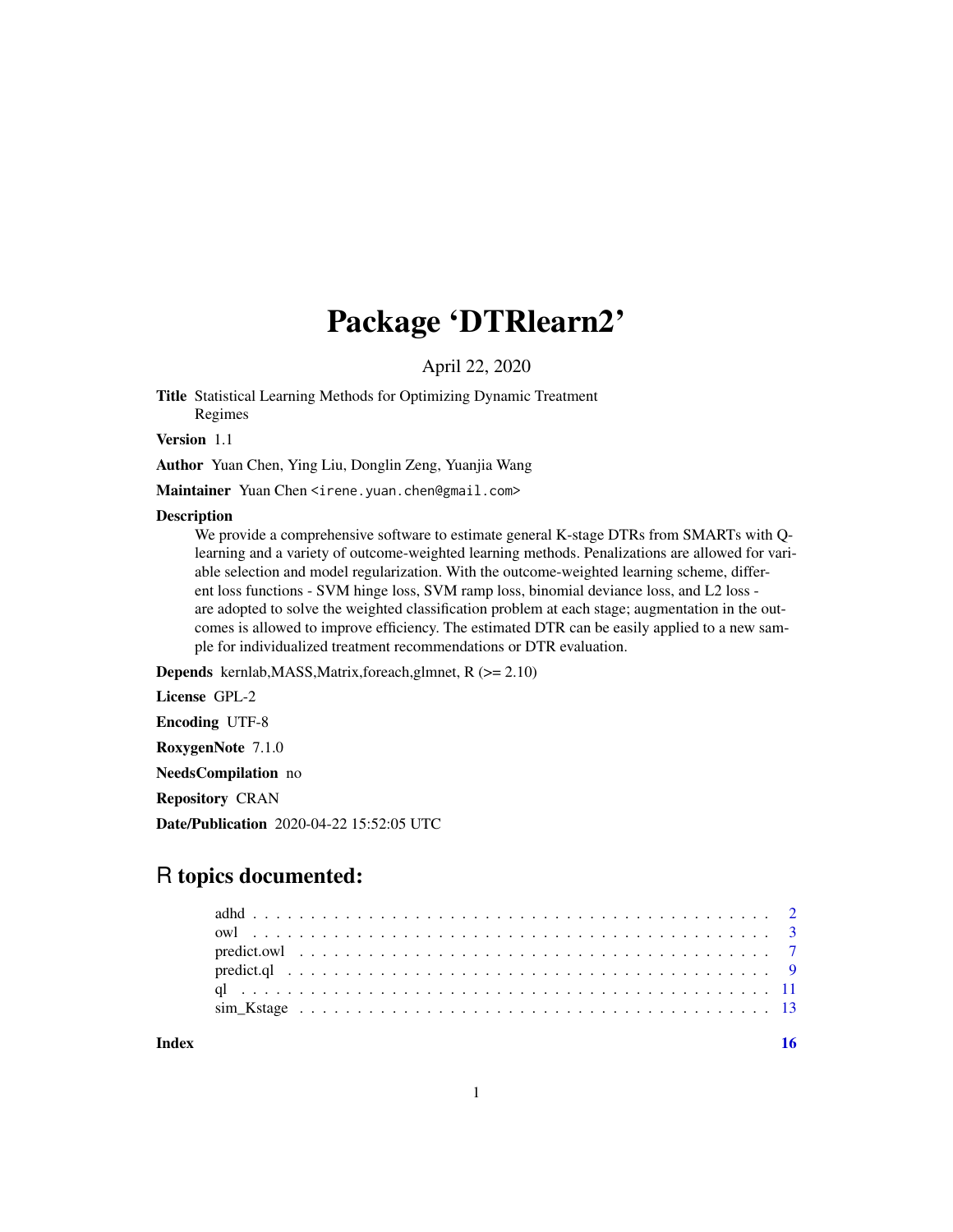# Package 'DTRlearn2'

April 22, 2020

Title Statistical Learning Methods for Optimizing Dynamic Treatment Regimes

Version 1.1

Author Yuan Chen, Ying Liu, Donglin Zeng, Yuanjia Wang

Maintainer Yuan Chen <irene.yuan.chen@gmail.com>

#### **Description**

We provide a comprehensive software to estimate general K-stage DTRs from SMARTs with Qlearning and a variety of outcome-weighted learning methods. Penalizations are allowed for variable selection and model regularization. With the outcome-weighted learning scheme, different loss functions - SVM hinge loss, SVM ramp loss, binomial deviance loss, and L2 loss are adopted to solve the weighted classification problem at each stage; augmentation in the outcomes is allowed to improve efficiency. The estimated DTR can be easily applied to a new sample for individualized treatment recommendations or DTR evaluation.

Depends kernlab,MASS,Matrix,foreach,glmnet, R (>= 2.10)

License GPL-2

Encoding UTF-8

RoxygenNote 7.1.0

NeedsCompilation no

Repository CRAN

Date/Publication 2020-04-22 15:52:05 UTC

# R topics documented:

**Index** the contract of the contract of the contract of the contract of the contract of the contract of the contract of the contract of the contract of the contract of the contract of the contract of the contract of the co

1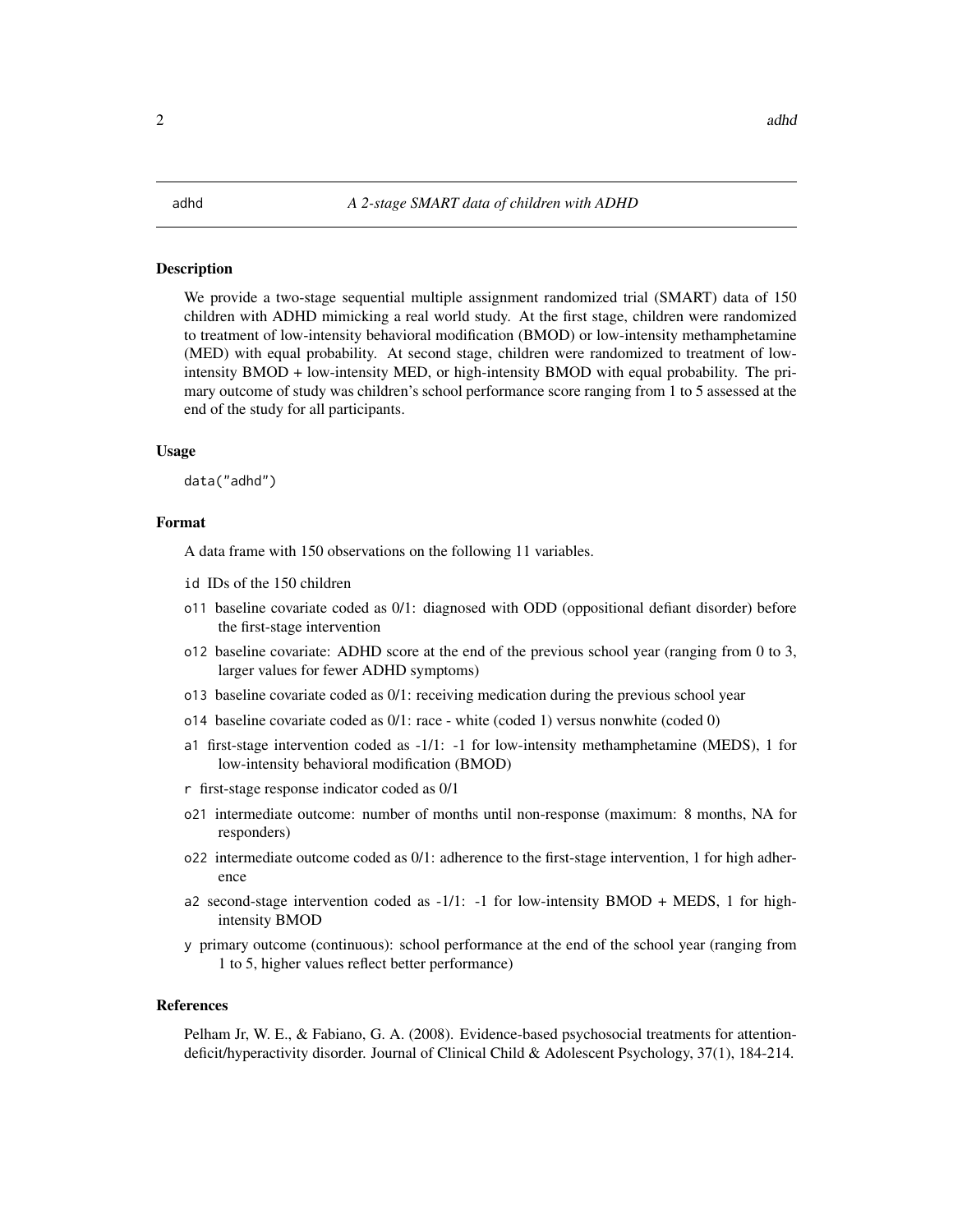#### <span id="page-1-0"></span>**Description**

We provide a two-stage sequential multiple assignment randomized trial (SMART) data of 150 children with ADHD mimicking a real world study. At the first stage, children were randomized to treatment of low-intensity behavioral modification (BMOD) or low-intensity methamphetamine (MED) with equal probability. At second stage, children were randomized to treatment of lowintensity BMOD + low-intensity MED, or high-intensity BMOD with equal probability. The primary outcome of study was children's school performance score ranging from 1 to 5 assessed at the end of the study for all participants.

#### Usage

data("adhd")

# Format

A data frame with 150 observations on the following 11 variables.

- id IDs of the 150 children
- o11 baseline covariate coded as 0/1: diagnosed with ODD (oppositional defiant disorder) before the first-stage intervention
- o12 baseline covariate: ADHD score at the end of the previous school year (ranging from 0 to 3, larger values for fewer ADHD symptoms)
- o13 baseline covariate coded as 0/1: receiving medication during the previous school year
- o14 baseline covariate coded as 0/1: race white (coded 1) versus nonwhite (coded 0)
- a1 first-stage intervention coded as -1/1: -1 for low-intensity methamphetamine (MEDS), 1 for low-intensity behavioral modification (BMOD)
- r first-stage response indicator coded as 0/1
- o21 intermediate outcome: number of months until non-response (maximum: 8 months, NA for responders)
- o22 intermediate outcome coded as 0/1: adherence to the first-stage intervention, 1 for high adherence
- a2 second-stage intervention coded as -1/1: -1 for low-intensity BMOD + MEDS, 1 for highintensity BMOD
- y primary outcome (continuous): school performance at the end of the school year (ranging from 1 to 5, higher values reflect better performance)

#### References

Pelham Jr, W. E., & Fabiano, G. A. (2008). Evidence-based psychosocial treatments for attentiondeficit/hyperactivity disorder. Journal of Clinical Child & Adolescent Psychology, 37(1), 184-214.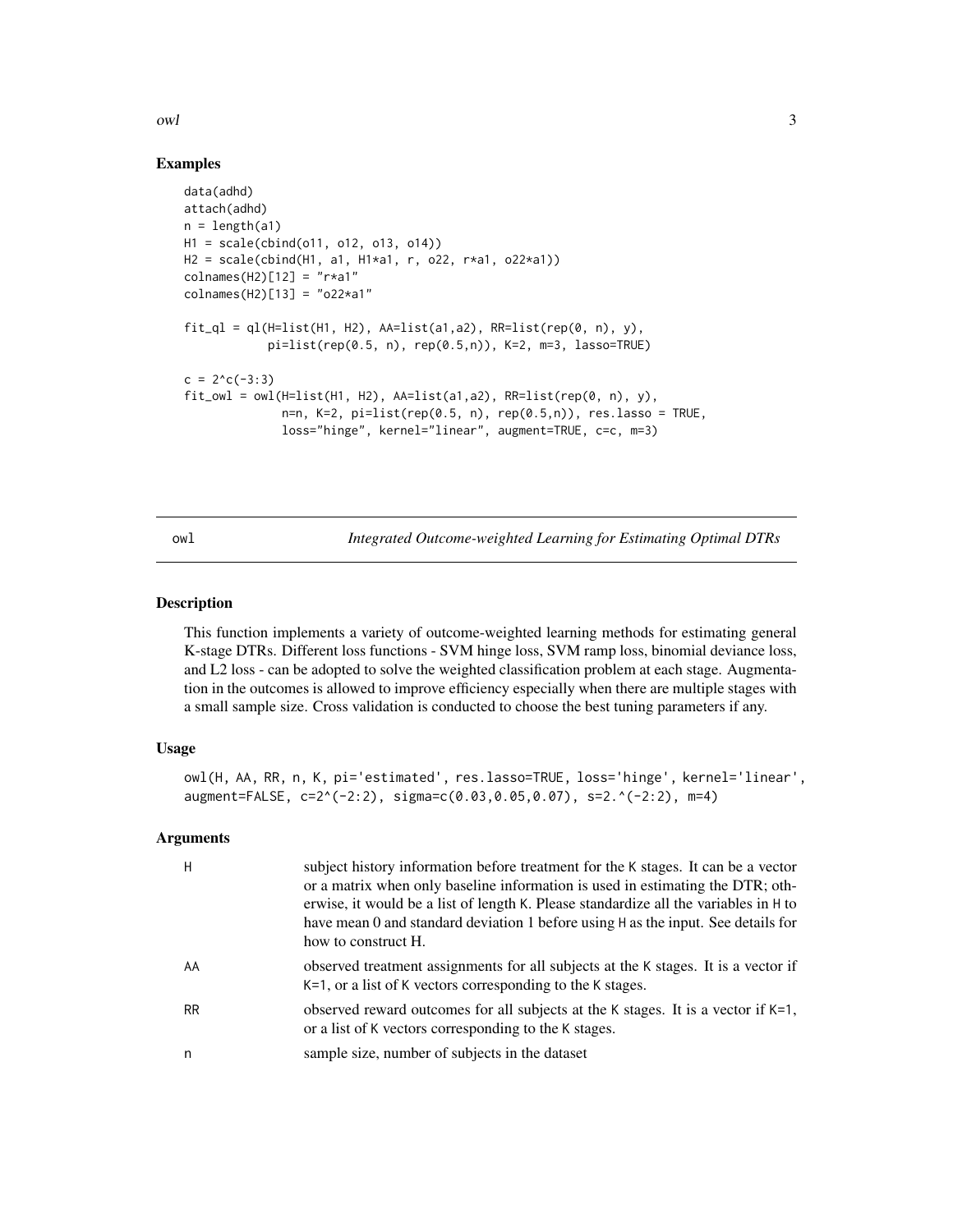#### <span id="page-2-0"></span>owl 3

### Examples

```
data(adhd)
attach(adhd)
n = length(a1)H1 = scale(cbind(o11, o12, o13, o14))
H2 = scale(cbind(H1, a1, H1*a1, r, o22, r*a1, o22*a1))
colnames(H2)[12] = "r*a1"
colnames(H2)[13] = "o22*a1"
fit_ql = ql(H=list(H1, H2), A=list(a1, a2), RR=list(rep(\theta, n), y),pi=list(rep(0.5, n), rep(0.5,n)), K=2, m=3, lasso=TRUE)
c = 2<sup>^</sup>c(-3:3)
fit\_owl =owl(H=list(H1, H2), AA=list(a1,a2), RR=list(rep(0, n), y),n=n, K=2, pi=list(rep(0.5, n), rep(0.5,n)), res.lasso = TRUE,
              loss="hinge", kernel="linear", augment=TRUE, c=c, m=3)
```
<span id="page-2-1"></span>owl *Integrated Outcome-weighted Learning for Estimating Optimal DTRs*

#### Description

This function implements a variety of outcome-weighted learning methods for estimating general K-stage DTRs. Different loss functions - SVM hinge loss, SVM ramp loss, binomial deviance loss, and L2 loss - can be adopted to solve the weighted classification problem at each stage. Augmentation in the outcomes is allowed to improve efficiency especially when there are multiple stages with a small sample size. Cross validation is conducted to choose the best tuning parameters if any.

#### Usage

```
owl(H, AA, RR, n, K, pi='estimated', res.lasso=TRUE, loss='hinge', kernel='linear',
augment=FALSE, c=2^(-2:2), sigma=c(0.03,0.05,0.07), s=2.^(-2:2), m=4)
```

| H         | subject history information before treatment for the K stages. It can be a vector<br>or a matrix when only baseline information is used in estimating the DTR; oth-<br>erwise, it would be a list of length K. Please standardize all the variables in H to<br>have mean 0 and standard deviation 1 before using H as the input. See details for<br>how to construct H. |
|-----------|-------------------------------------------------------------------------------------------------------------------------------------------------------------------------------------------------------------------------------------------------------------------------------------------------------------------------------------------------------------------------|
| AA        | observed treatment assignments for all subjects at the K stages. It is a vector if<br>K=1, or a list of K vectors corresponding to the K stages.                                                                                                                                                                                                                        |
| <b>RR</b> | observed reward outcomes for all subjects at the K stages. It is a vector if K=1,<br>or a list of K vectors corresponding to the K stages.                                                                                                                                                                                                                              |
| n         | sample size, number of subjects in the dataset                                                                                                                                                                                                                                                                                                                          |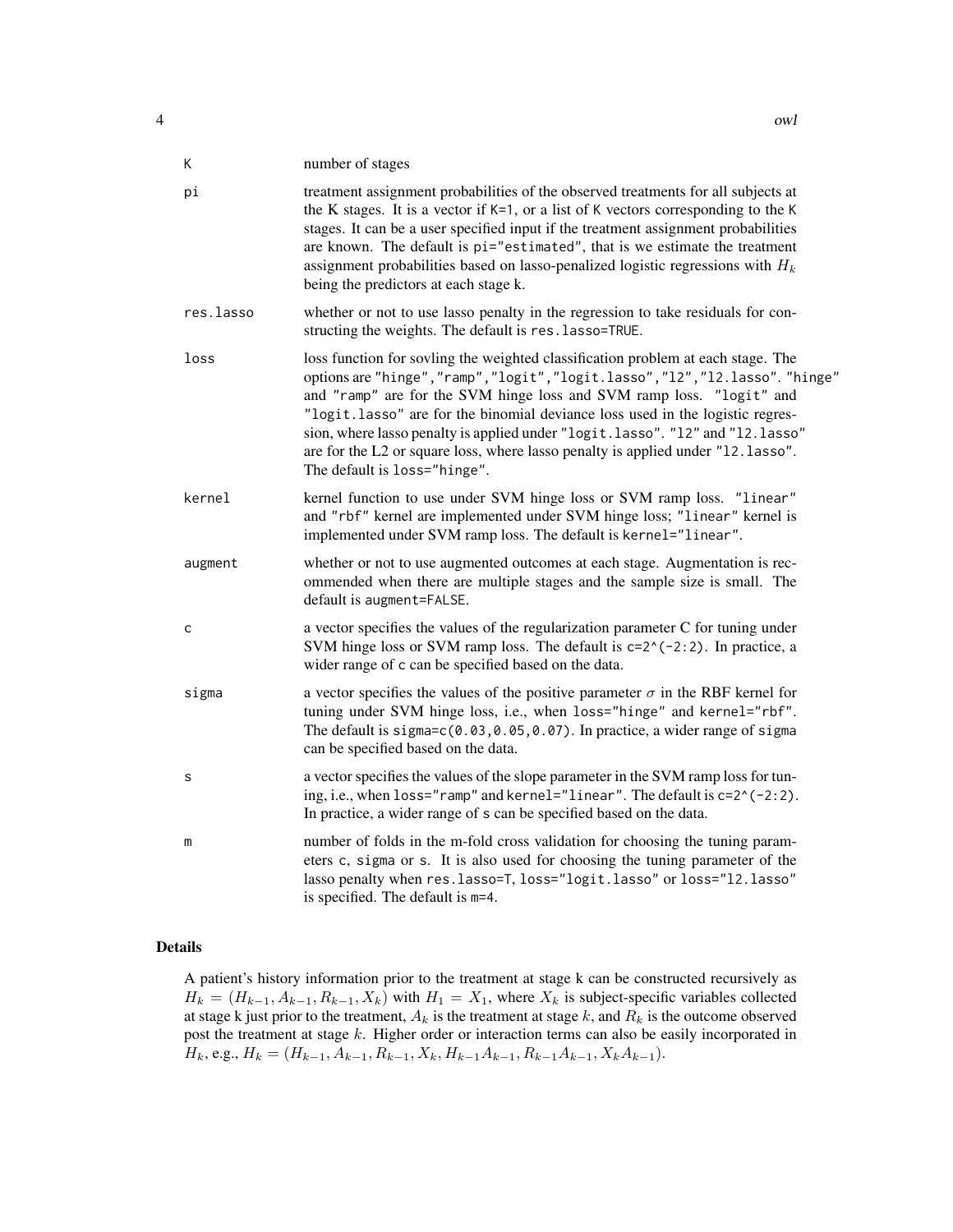| К         | number of stages                                                                                                                                                                                                                                                                                                                                                                                                                                                                                                                |
|-----------|---------------------------------------------------------------------------------------------------------------------------------------------------------------------------------------------------------------------------------------------------------------------------------------------------------------------------------------------------------------------------------------------------------------------------------------------------------------------------------------------------------------------------------|
| pi        | treatment assignment probabilities of the observed treatments for all subjects at<br>the K stages. It is a vector if $K=1$ , or a list of K vectors corresponding to the K<br>stages. It can be a user specified input if the treatment assignment probabilities<br>are known. The default is pi="estimated", that is we estimate the treatment<br>assignment probabilities based on lasso-penalized logistic regressions with $H_k$<br>being the predictors at each stage k.                                                   |
| res.lasso | whether or not to use lasso penalty in the regression to take residuals for con-<br>structing the weights. The default is res. lasso=TRUE.                                                                                                                                                                                                                                                                                                                                                                                      |
| loss      | loss function for sovling the weighted classification problem at each stage. The<br>options are "hinge", "ramp", "logit", "logit.lasso", "l2", "l2.lasso". "hinge"<br>and "ramp" are for the SVM hinge loss and SVM ramp loss. "logit" and<br>"logit.lasso" are for the binomial deviance loss used in the logistic regres-<br>sion, where lasso penalty is applied under "logit.lasso". "12" and "12.lasso"<br>are for the L2 or square loss, where lasso penalty is applied under "12.1asso".<br>The default is loss="hinge". |
| kernel    | kernel function to use under SVM hinge loss or SVM ramp loss. "linear"<br>and "rbf" kernel are implemented under SVM hinge loss; "linear" kernel is<br>implemented under SVM ramp loss. The default is kernel="linear".                                                                                                                                                                                                                                                                                                         |
| augment   | whether or not to use augmented outcomes at each stage. Augmentation is rec-<br>ommended when there are multiple stages and the sample size is small. The<br>default is augment=FALSE.                                                                                                                                                                                                                                                                                                                                          |
| c         | a vector specifies the values of the regularization parameter C for tuning under<br>SVM hinge loss or SVM ramp loss. The default is $c=2^(-2:2)$ . In practice, a<br>wider range of c can be specified based on the data.                                                                                                                                                                                                                                                                                                       |
| sigma     | a vector specifies the values of the positive parameter $\sigma$ in the RBF kernel for<br>tuning under SVM hinge loss, i.e., when loss="hinge" and kernel="rbf".<br>The default is sigma=c(0.03,0.05,0.07). In practice, a wider range of sigma<br>can be specified based on the data.                                                                                                                                                                                                                                          |
| s         | a vector specifies the values of the slope parameter in the SVM ramp loss for tun-<br>ing, i.e., when loss="ramp" and kernel="linear". The default is c=2^(-2:2).<br>In practice, a wider range of s can be specified based on the data.                                                                                                                                                                                                                                                                                        |
| m         | number of folds in the m-fold cross validation for choosing the tuning param-<br>eters c, sigma or s. It is also used for choosing the tuning parameter of the<br>lasso penalty when res.lasso=T, loss="logit.lasso" or loss="12.lasso"<br>is specified. The default is m=4.                                                                                                                                                                                                                                                    |

# Details

A patient's history information prior to the treatment at stage k can be constructed recursively as  $H_k = (H_{k-1}, A_{k-1}, R_{k-1}, X_k)$  with  $H_1 = X_1$ , where  $X_k$  is subject-specific variables collected at stage k just prior to the treatment,  $A_k$  is the treatment at stage k, and  $R_k$  is the outcome observed post the treatment at stage k. Higher order or interaction terms can also be easily incorporated in  $H_k$ , e.g.,  $H_k = (H_{k-1}, A_{k-1}, R_{k-1}, X_k, H_{k-1}A_{k-1}, R_{k-1}A_{k-1}, X_kA_{k-1}).$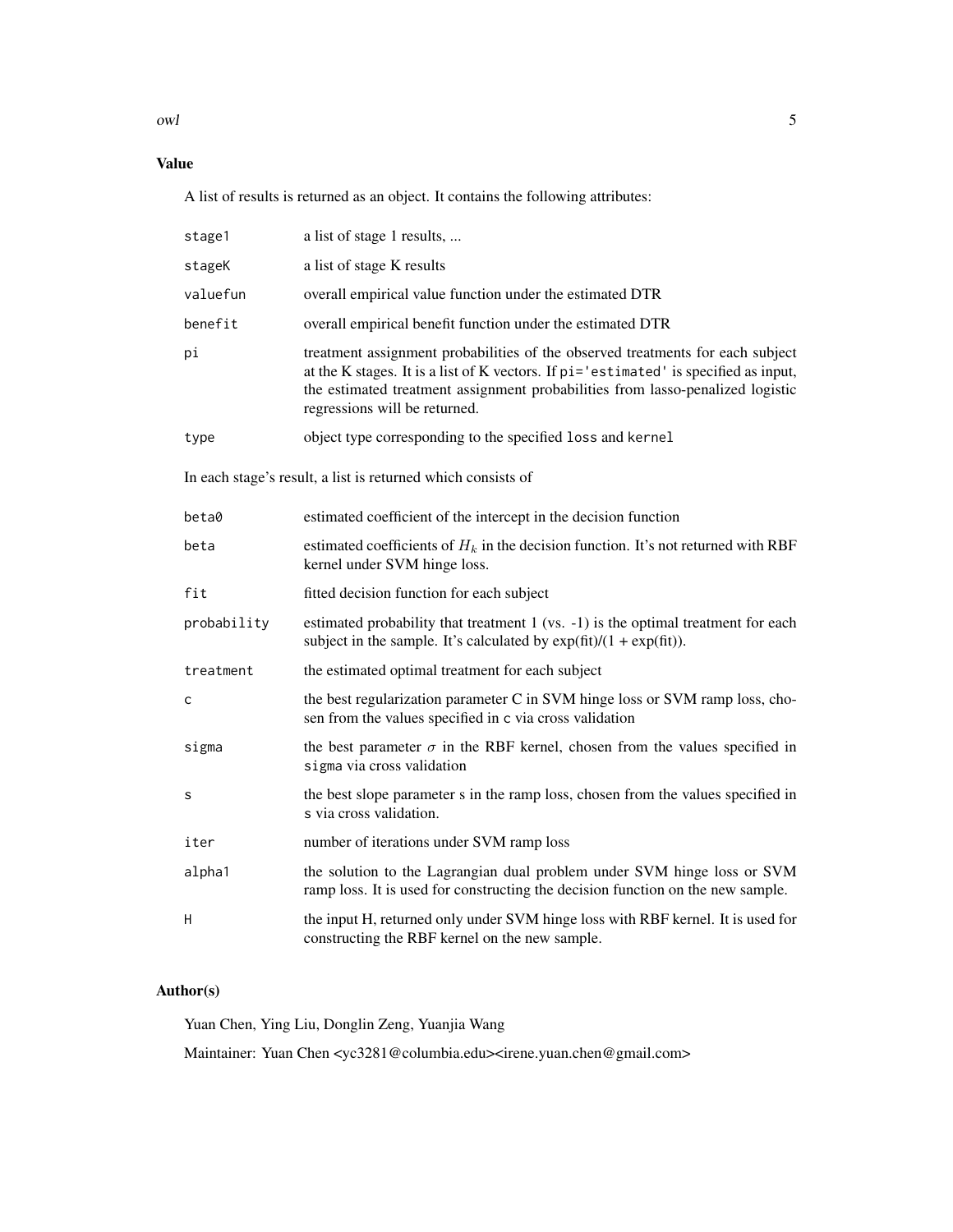owl 5

# Value

A list of results is returned as an object. It contains the following attributes:

| stage1                                                       | a list of stage 1 results,                                                                                                                                                                                                                                                                |  |  |  |  |  |  |
|--------------------------------------------------------------|-------------------------------------------------------------------------------------------------------------------------------------------------------------------------------------------------------------------------------------------------------------------------------------------|--|--|--|--|--|--|
| stageK                                                       | a list of stage K results                                                                                                                                                                                                                                                                 |  |  |  |  |  |  |
| valuefun                                                     | overall empirical value function under the estimated DTR                                                                                                                                                                                                                                  |  |  |  |  |  |  |
| benefit                                                      | overall empirical benefit function under the estimated DTR                                                                                                                                                                                                                                |  |  |  |  |  |  |
| pi                                                           | treatment assignment probabilities of the observed treatments for each subject<br>at the K stages. It is a list of K vectors. If pi='estimated' is specified as input,<br>the estimated treatment assignment probabilities from lasso-penalized logistic<br>regressions will be returned. |  |  |  |  |  |  |
| type                                                         | object type corresponding to the specified loss and kernel                                                                                                                                                                                                                                |  |  |  |  |  |  |
| In each stage's result, a list is returned which consists of |                                                                                                                                                                                                                                                                                           |  |  |  |  |  |  |
| beta0                                                        | estimated coefficient of the intercept in the decision function                                                                                                                                                                                                                           |  |  |  |  |  |  |
| beta                                                         | estimated coefficients of $H_k$ in the decision function. It's not returned with RBF<br>kernel under SVM hinge loss.                                                                                                                                                                      |  |  |  |  |  |  |
| fit                                                          | fitted decision function for each subject                                                                                                                                                                                                                                                 |  |  |  |  |  |  |
| probability                                                  | estimated probability that treatment 1 (vs. -1) is the optimal treatment for each<br>subject in the sample. It's calculated by $\exp(\text{fit})/(1 + \exp(\text{fit}))$ .                                                                                                                |  |  |  |  |  |  |
| treatment                                                    | the estimated optimal treatment for each subject                                                                                                                                                                                                                                          |  |  |  |  |  |  |
| C                                                            | the best regularization parameter C in SVM hinge loss or SVM ramp loss, cho-<br>sen from the values specified in c via cross validation                                                                                                                                                   |  |  |  |  |  |  |
| sigma                                                        | the best parameter $\sigma$ in the RBF kernel, chosen from the values specified in<br>sigma via cross validation                                                                                                                                                                          |  |  |  |  |  |  |
| s                                                            | the best slope parameter s in the ramp loss, chosen from the values specified in<br>s via cross validation.                                                                                                                                                                               |  |  |  |  |  |  |
| iter                                                         | number of iterations under SVM ramp loss                                                                                                                                                                                                                                                  |  |  |  |  |  |  |
| alpha1                                                       | the solution to the Lagrangian dual problem under SVM hinge loss or SVM<br>ramp loss. It is used for constructing the decision function on the new sample.                                                                                                                                |  |  |  |  |  |  |
| н                                                            | the input H, returned only under SVM hinge loss with RBF kernel. It is used for<br>constructing the RBF kernel on the new sample.                                                                                                                                                         |  |  |  |  |  |  |

# Author(s)

Yuan Chen, Ying Liu, Donglin Zeng, Yuanjia Wang

Maintainer: Yuan Chen <yc3281@columbia.edu><irene.yuan.chen@gmail.com>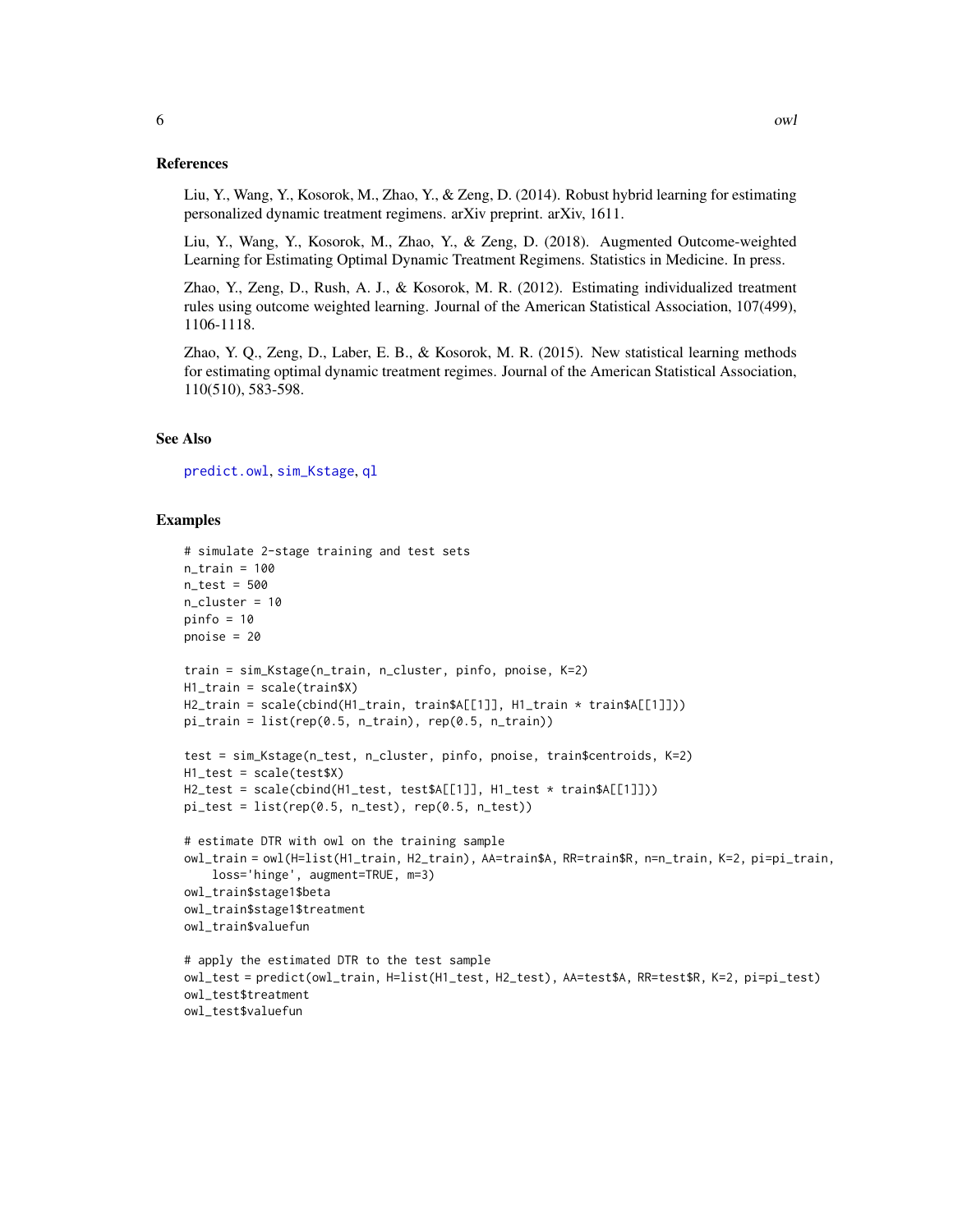#### <span id="page-5-0"></span>References

Liu, Y., Wang, Y., Kosorok, M., Zhao, Y., & Zeng, D. (2014). Robust hybrid learning for estimating personalized dynamic treatment regimens. arXiv preprint. arXiv, 1611.

Liu, Y., Wang, Y., Kosorok, M., Zhao, Y., & Zeng, D. (2018). Augmented Outcome-weighted Learning for Estimating Optimal Dynamic Treatment Regimens. Statistics in Medicine. In press.

Zhao, Y., Zeng, D., Rush, A. J., & Kosorok, M. R. (2012). Estimating individualized treatment rules using outcome weighted learning. Journal of the American Statistical Association, 107(499), 1106-1118.

Zhao, Y. Q., Zeng, D., Laber, E. B., & Kosorok, M. R. (2015). New statistical learning methods for estimating optimal dynamic treatment regimes. Journal of the American Statistical Association, 110(510), 583-598.

#### See Also

[predict.owl](#page-6-1), [sim\\_Kstage](#page-12-1), [ql](#page-10-1)

```
# simulate 2-stage training and test sets
n_{train} = 100n_{\text{test}} = 500n_cluster = 10
pinfo = 10pnoise = 20
train = sim_Kstage(n_train, n_cluster, pinfo, pnoise, K=2)
H1_train = scale(train$X)
H2_train = scale(cbind(H1_train, train$A[[1]], H1_train * train$A[[1]]))
pi_{\text{train}} = \text{list}(\text{rep}(0.5, n_{\text{train}}), \text{rep}(0.5, n_{\text{train}}))test = sim_Kstage(n_test, n_cluster, pinfo, pnoise, train$centroids, K=2)
H1_test = scale(test$X)
H2_test = scale(cbind(H1_test, test$A[[1]], H1_test * train$A[[1]]))
pi_test = list(rep(0.5, n_test), rep(0.5, n_test))# estimate DTR with owl on the training sample
owl_train = owl(H=list(H1_train, H2_train), AA=train$A, RR=train$R, n=n_train, K=2, pi=pi_train,
    loss='hinge', augment=TRUE, m=3)
owl_train$stage1$beta
owl_train$stage1$treatment
owl_train$valuefun
# apply the estimated DTR to the test sample
owl_test = predict(owl_train, H=list(H1_test, H2_test), AA=test$A, RR=test$R, K=2, pi=pi_test)
owl_test$treatment
owl_test$valuefun
```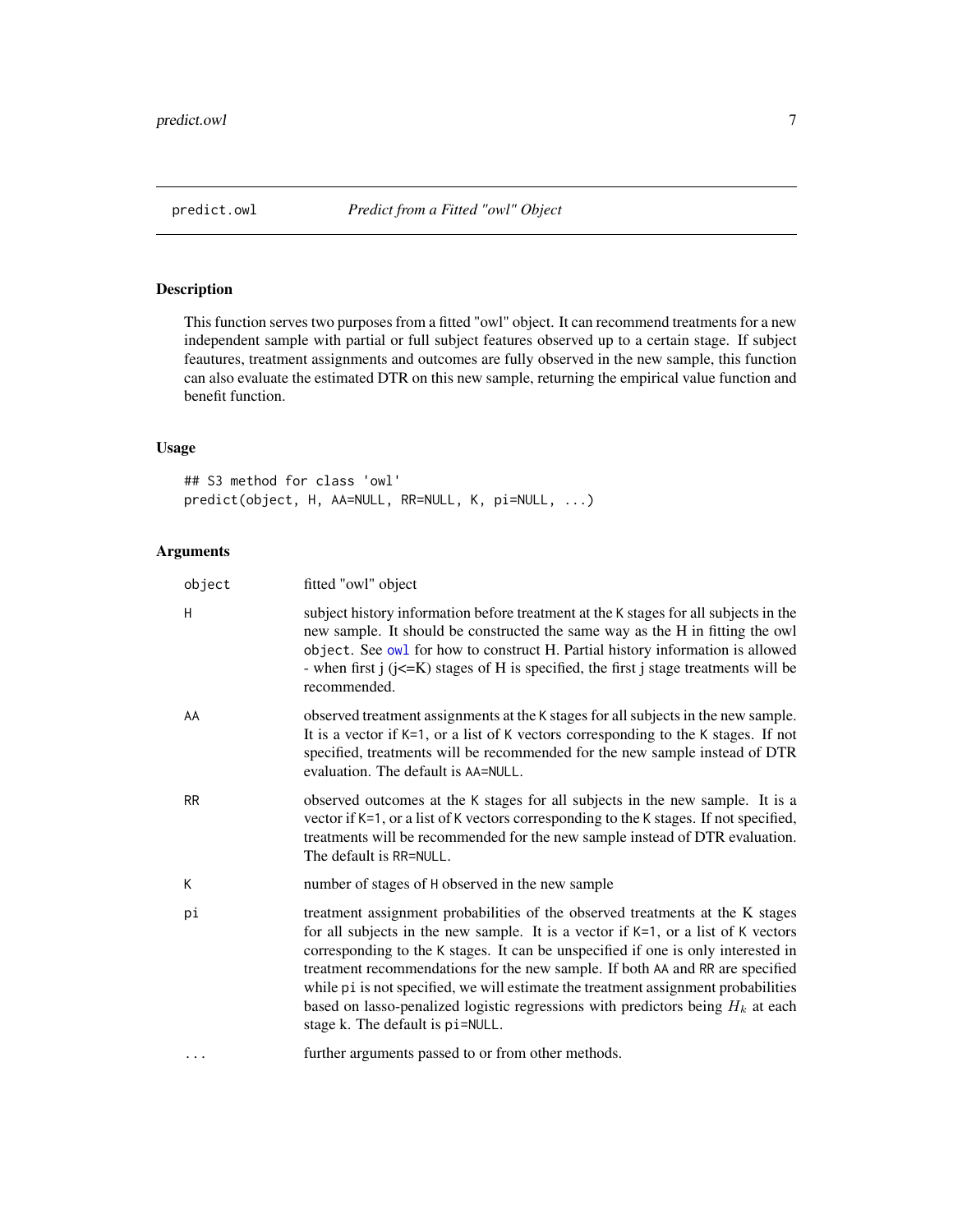# <span id="page-6-1"></span><span id="page-6-0"></span>Description

This function serves two purposes from a fitted "owl" object. It can recommend treatments for a new independent sample with partial or full subject features observed up to a certain stage. If subject feautures, treatment assignments and outcomes are fully observed in the new sample, this function can also evaluate the estimated DTR on this new sample, returning the empirical value function and benefit function.

# Usage

## S3 method for class 'owl' predict(object, H, AA=NULL, RR=NULL, K, pi=NULL, ...)

| object    | fitted "owl" object                                                                                                                                                                                                                                                                                                                                                                                                                                                                                                                                        |
|-----------|------------------------------------------------------------------------------------------------------------------------------------------------------------------------------------------------------------------------------------------------------------------------------------------------------------------------------------------------------------------------------------------------------------------------------------------------------------------------------------------------------------------------------------------------------------|
| H         | subject history information before treatment at the K stages for all subjects in the<br>new sample. It should be constructed the same way as the H in fitting the owl<br>object. See owl for how to construct H. Partial history information is allowed<br>- when first $j$ ( $j \le K$ ) stages of H is specified, the first $j$ stage treatments will be<br>recommended.                                                                                                                                                                                 |
| AA        | observed treatment assignments at the K stages for all subjects in the new sample.<br>It is a vector if $K=1$ , or a list of K vectors corresponding to the K stages. If not<br>specified, treatments will be recommended for the new sample instead of DTR<br>evaluation. The default is AA=NULL.                                                                                                                                                                                                                                                         |
| <b>RR</b> | observed outcomes at the K stages for all subjects in the new sample. It is a<br>vector if K=1, or a list of K vectors corresponding to the K stages. If not specified,<br>treatments will be recommended for the new sample instead of DTR evaluation.<br>The default is RR=NULL.                                                                                                                                                                                                                                                                         |
| К         | number of stages of H observed in the new sample                                                                                                                                                                                                                                                                                                                                                                                                                                                                                                           |
| рi        | treatment assignment probabilities of the observed treatments at the K stages<br>for all subjects in the new sample. It is a vector if $K=1$ , or a list of K vectors<br>corresponding to the K stages. It can be unspecified if one is only interested in<br>treatment recommendations for the new sample. If both AA and RR are specified<br>while pi is not specified, we will estimate the treatment assignment probabilities<br>based on lasso-penalized logistic regressions with predictors being $H_k$ at each<br>stage k. The default is pi=NULL. |
| .         | further arguments passed to or from other methods.                                                                                                                                                                                                                                                                                                                                                                                                                                                                                                         |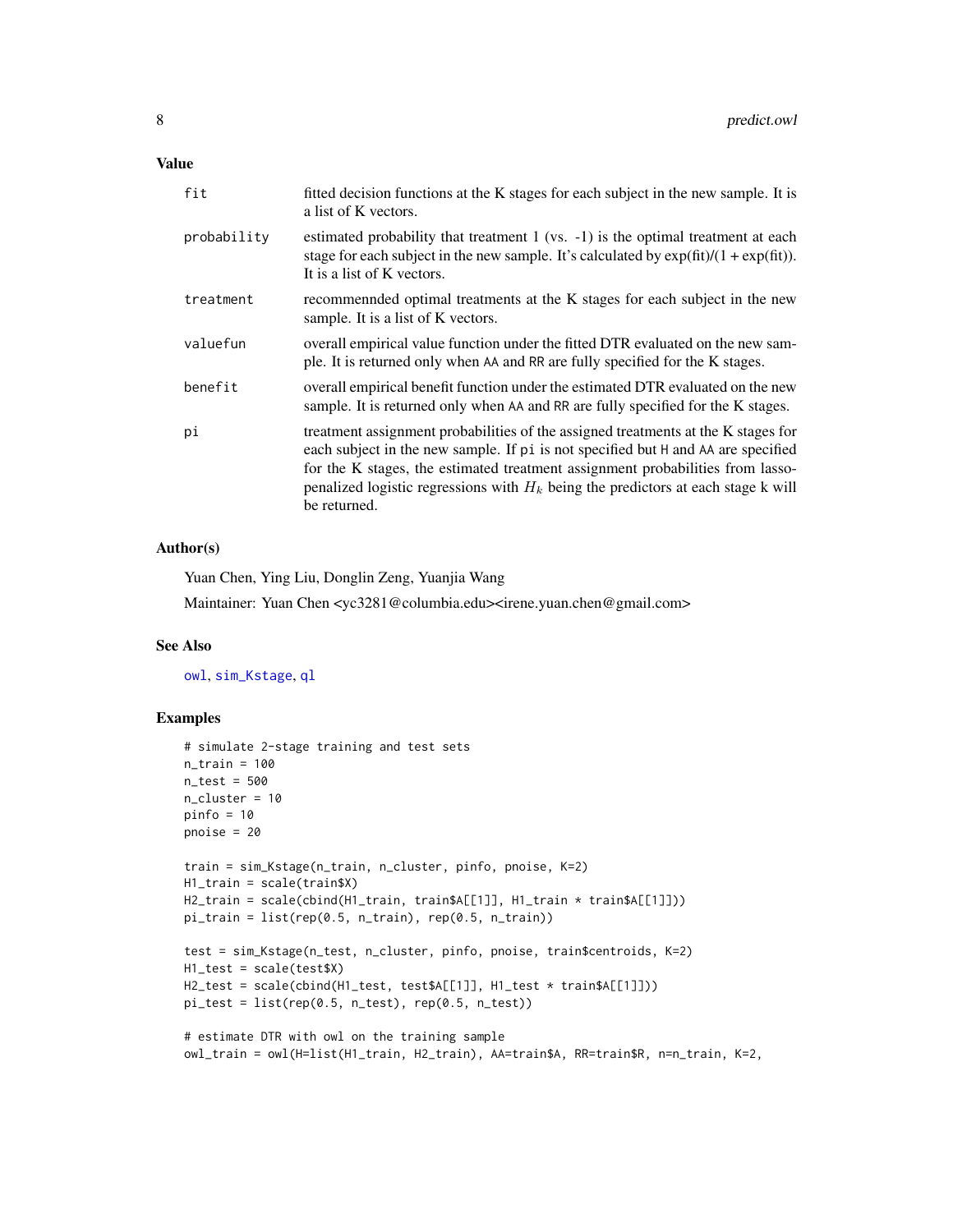<span id="page-7-0"></span>

| fit         | fitted decision functions at the K stages for each subject in the new sample. It is<br>a list of K vectors.                                                                                                                                                                                                                                                     |
|-------------|-----------------------------------------------------------------------------------------------------------------------------------------------------------------------------------------------------------------------------------------------------------------------------------------------------------------------------------------------------------------|
| probability | estimated probability that treatment 1 (vs. -1) is the optimal treatment at each<br>stage for each subject in the new sample. It's calculated by $\exp(\text{fit})/(1 + \exp(\text{fit}))$ .<br>It is a list of K vectors.                                                                                                                                      |
| treatment   | recommended optimal treatments at the K stages for each subject in the new<br>sample. It is a list of K vectors.                                                                                                                                                                                                                                                |
| valuefun    | overall empirical value function under the fitted DTR evaluated on the new sam-<br>ple. It is returned only when AA and RR are fully specified for the K stages.                                                                                                                                                                                                |
| benefit     | overall empirical benefit function under the estimated DTR evaluated on the new<br>sample. It is returned only when AA and RR are fully specified for the K stages.                                                                                                                                                                                             |
| рi          | treatment assignment probabilities of the assigned treatments at the K stages for<br>each subject in the new sample. If pi is not specified but H and AA are specified<br>for the K stages, the estimated treatment assignment probabilities from lasso-<br>penalized logistic regressions with $H_k$ being the predictors at each stage k will<br>be returned. |

# Author(s)

Yuan Chen, Ying Liu, Donglin Zeng, Yuanjia Wang

Maintainer: Yuan Chen <yc3281@columbia.edu><irene.yuan.chen@gmail.com>

### See Also

[owl](#page-2-1), [sim\\_Kstage](#page-12-1), [ql](#page-10-1)

```
# simulate 2-stage training and test sets
n_train = 100
n_{\text{test}} = 500n_cluster = 10
pinfo = 10
pnoise = 20
train = sim_Kstage(n_train, n_cluster, pinfo, pnoise, K=2)
H1_train = scale(train$X)
H2_train = scale(cbind(H1_train, train$A[[1]], H1_train * train$A[[1]]))
pi_train = list(rep(0.5, n_train), rep(0.5, n_train))
test = sim_Kstage(n_test, n_cluster, pinfo, pnoise, train$centroids, K=2)
H1_test = scale(test$X)
H2_test = scale(cbind(H1_test, test$A[[1]], H1_test * train$A[[1]]))
pi_test = list(rep(0.5, n_test), rep(0.5, n_test))
# estimate DTR with owl on the training sample
```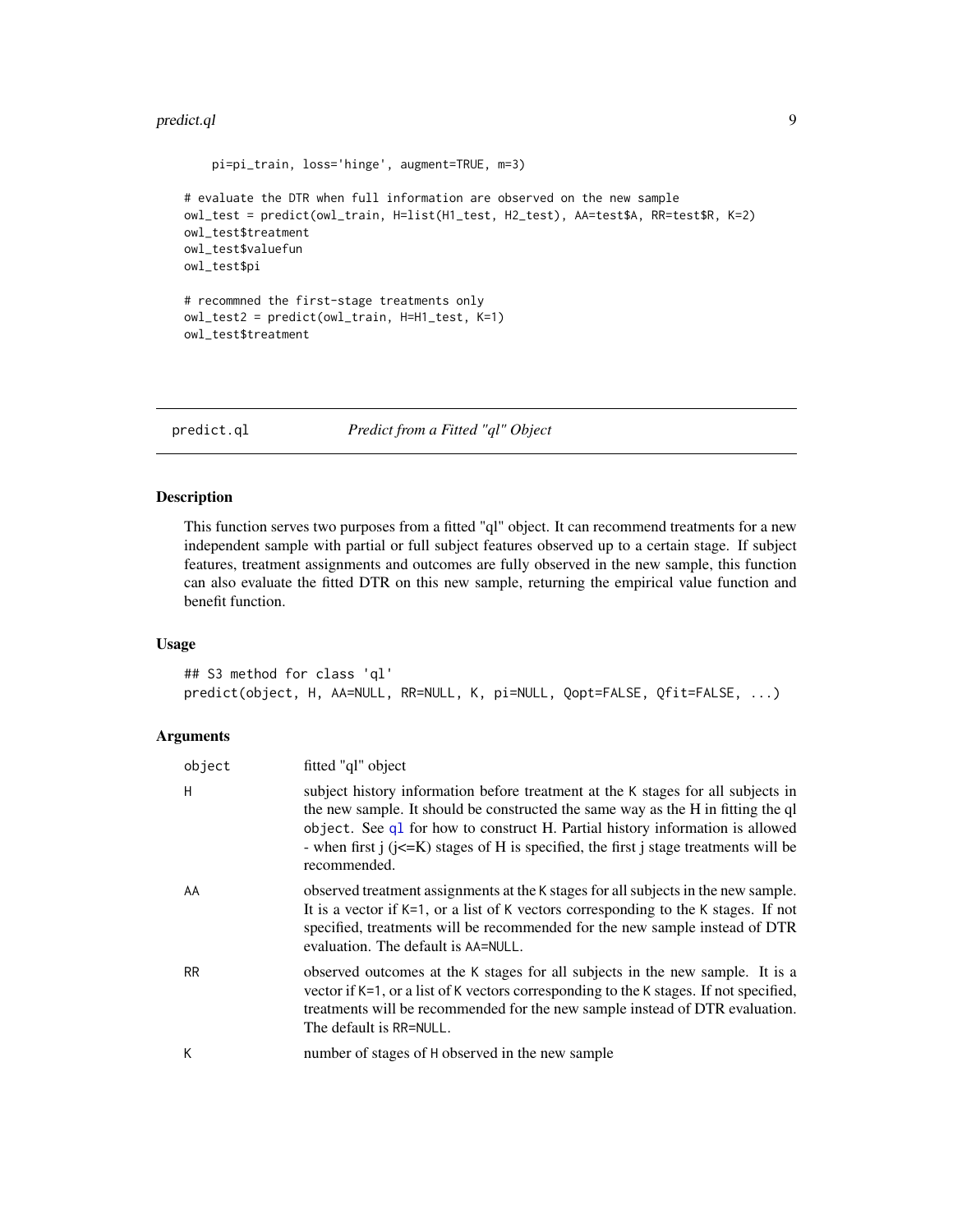#### <span id="page-8-0"></span>predict.ql 99 and 200 and 200 and 200 and 200 and 200 and 200 and 200 and 200 and 200 and 200 and 200 and 200

```
pi=pi_train, loss='hinge', augment=TRUE, m=3)
# evaluate the DTR when full information are observed on the new sample
owl_test = predict(owl_train, H=list(H1_test, H2_test), AA=test$A, RR=test$R, K=2)
owl_test$treatment
owl_test$valuefun
owl_test$pi
# recommned the first-stage treatments only
owl_test2 = predict(owl_train, H=H1_test, K=1)
owl_test$treatment
```
<span id="page-8-1"></span>

predict.ql *Predict from a Fitted "ql" Object*

# Description

This function serves two purposes from a fitted "ql" object. It can recommend treatments for a new independent sample with partial or full subject features observed up to a certain stage. If subject features, treatment assignments and outcomes are fully observed in the new sample, this function can also evaluate the fitted DTR on this new sample, returning the empirical value function and benefit function.

#### Usage

## S3 method for class 'ql' predict(object, H, AA=NULL, RR=NULL, K, pi=NULL, Qopt=FALSE, Qfit=FALSE, ...)

| object    | fitted "ql" object                                                                                                                                                                                                                                                                                                                                                     |
|-----------|------------------------------------------------------------------------------------------------------------------------------------------------------------------------------------------------------------------------------------------------------------------------------------------------------------------------------------------------------------------------|
| H         | subject history information before treatment at the K stages for all subjects in<br>the new sample. It should be constructed the same way as the H in fitting the ql<br>object. See q1 for how to construct H. Partial history information is allowed<br>- when first $j$ ( $j \le K$ ) stages of H is specified, the first j stage treatments will be<br>recommended. |
| AA        | observed treatment assignments at the K stages for all subjects in the new sample.<br>It is a vector if $K=1$ , or a list of K vectors corresponding to the K stages. If not<br>specified, treatments will be recommended for the new sample instead of DTR<br>evaluation. The default is AA=NULL.                                                                     |
| <b>RR</b> | observed outcomes at the K stages for all subjects in the new sample. It is a<br>vector if K=1, or a list of K vectors corresponding to the K stages. If not specified,<br>treatments will be recommended for the new sample instead of DTR evaluation.<br>The default is RR=NULL.                                                                                     |
| К         | number of stages of H observed in the new sample                                                                                                                                                                                                                                                                                                                       |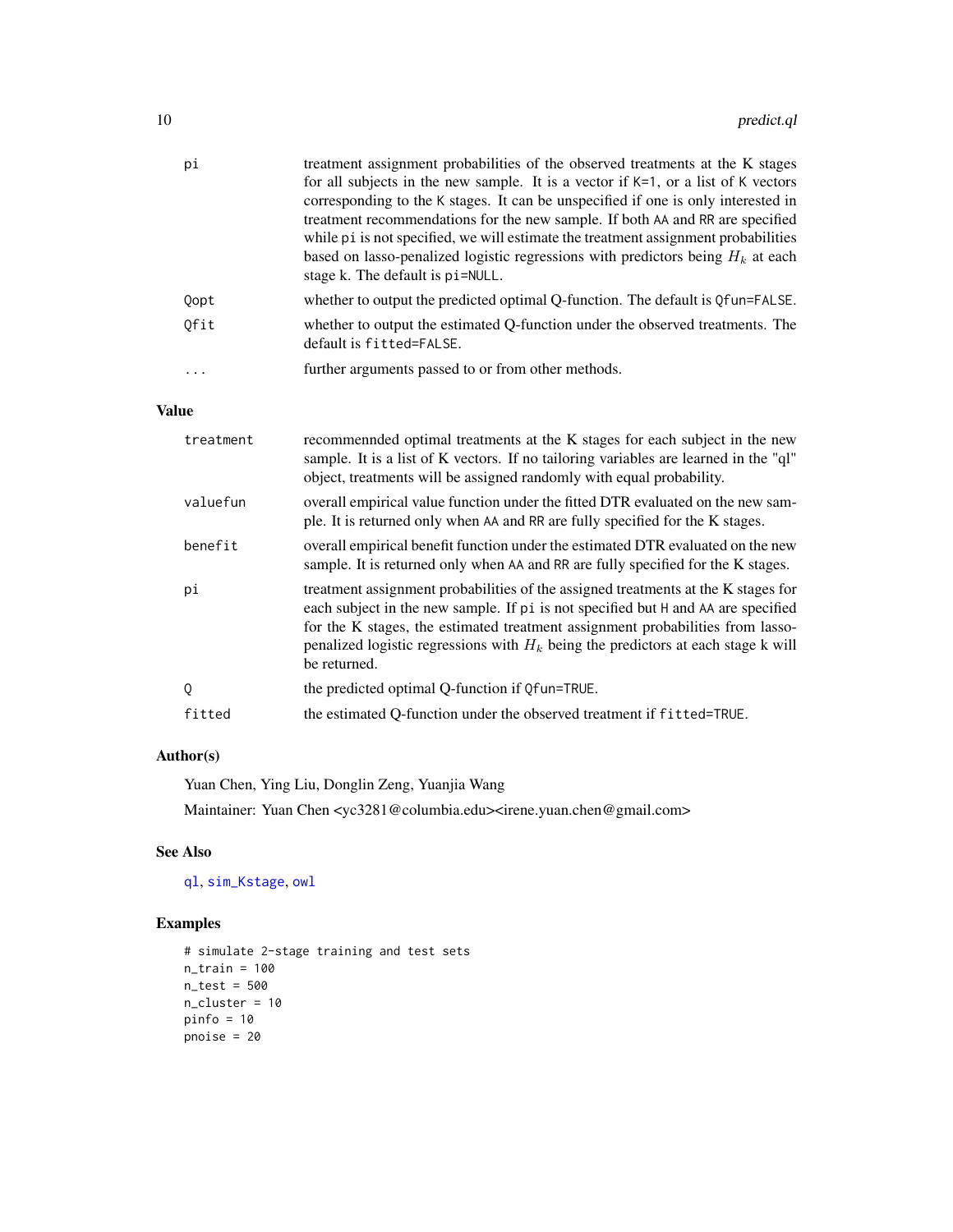<span id="page-9-0"></span>

| pi   | treatment assignment probabilities of the observed treatments at the K stages        |
|------|--------------------------------------------------------------------------------------|
|      | for all subjects in the new sample. It is a vector if $K=1$ , or a list of K vectors |
|      | corresponding to the K stages. It can be unspecified if one is only interested in    |
|      | treatment recommendations for the new sample. If both AA and RR are specified        |
|      | while pi is not specified, we will estimate the treatment assignment probabilities   |
|      | based on lasso-penalized logistic regressions with predictors being $H_k$ at each    |
|      | stage k. The default is pi=NULL.                                                     |
| Qopt | whether to output the predicted optimal Q-function. The default is Qfun=FALSE.       |
| Ofit | whether to output the estimated O-function under the observed treatments. The        |
|      | default is fitted=FALSE.                                                             |
| .    | further arguments passed to or from other methods.                                   |
|      |                                                                                      |

# Value

| treatment | recommended optimal treatments at the K stages for each subject in the new<br>sample. It is a list of K vectors. If no tailoring variables are learned in the "ql"<br>object, treatments will be assigned randomly with equal probability.                                                                                                                      |
|-----------|-----------------------------------------------------------------------------------------------------------------------------------------------------------------------------------------------------------------------------------------------------------------------------------------------------------------------------------------------------------------|
| valuefun  | overall empirical value function under the fitted DTR evaluated on the new sam-<br>ple. It is returned only when AA and RR are fully specified for the K stages.                                                                                                                                                                                                |
| benefit   | overall empirical benefit function under the estimated DTR evaluated on the new<br>sample. It is returned only when AA and RR are fully specified for the K stages.                                                                                                                                                                                             |
| рi        | treatment assignment probabilities of the assigned treatments at the K stages for<br>each subject in the new sample. If pi is not specified but H and AA are specified<br>for the K stages, the estimated treatment assignment probabilities from lasso-<br>penalized logistic regressions with $H_k$ being the predictors at each stage k will<br>be returned. |
| 0         | the predicted optimal Q-function if $Q$ fun=TRUE.                                                                                                                                                                                                                                                                                                               |
| fitted    | the estimated O-function under the observed treatment if fitted=TRUE.                                                                                                                                                                                                                                                                                           |

# Author(s)

Yuan Chen, Ying Liu, Donglin Zeng, Yuanjia Wang

Maintainer: Yuan Chen <yc3281@columbia.edu><irene.yuan.chen@gmail.com>

# See Also

[ql](#page-10-1), [sim\\_Kstage](#page-12-1), [owl](#page-2-1)

```
# simulate 2-stage training and test sets
n_train = 100
n_test = 500
n_cluster = 10
pinfo = 10
pnoise = 20
```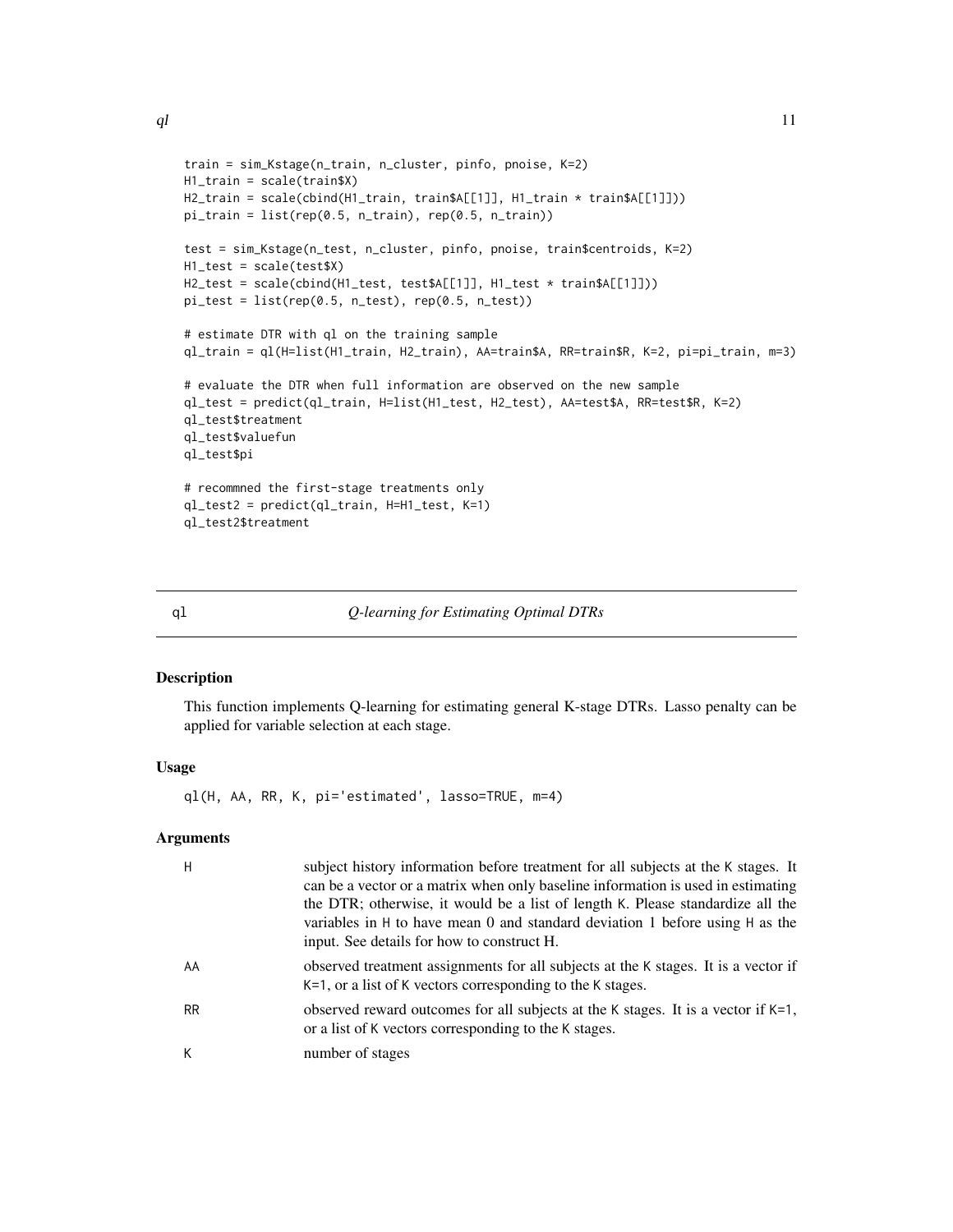```
train = sim_Kstage(n_train, n_cluster, pinfo, pnoise, K=2)
H1_train = scale(train$X)
H2_train = scale(cbind(H1_train, train$A[[1]], H1_train * train$A[[1]]))
pi_{\text{train}} = \text{list}(\text{rep}(0.5, n_{\text{train}}), \text{rep}(0.5, n_{\text{train}}))test = sim_Kstage(n_test, n_cluster, pinfo, pnoise, train$centroids, K=2)
H1_test = scale(test$X)
H2_test = scale(cbind(H1_test, test$A[[1]], H1_test * train$A[[1]]))
pi_test = list(rep(0.5, n_test), rep(0.5, n_test))
# estimate DTR with ql on the training sample
ql_train = ql(H=list(H1_train, H2_train), AA=train$A, RR=train$R, K=2, pi=pi_train, m=3)
# evaluate the DTR when full information are observed on the new sample
ql_test = predict(ql_train, H=list(H1_test, H2_test), AA=test$A, RR=test$R, K=2)
ql_test$treatment
ql_test$valuefun
ql_test$pi
# recommned the first-stage treatments only
ql_test2 = predict(ql_train, H=H1_test, K=1)
ql_test2$treatment
```
<span id="page-10-1"></span>

| αl | Q-learning for Estimating Optimal DTRs |  |
|----|----------------------------------------|--|
|    |                                        |  |

#### Description

This function implements Q-learning for estimating general K-stage DTRs. Lasso penalty can be applied for variable selection at each stage.

#### Usage

ql(H, AA, RR, K, pi='estimated', lasso=TRUE, m=4)

| Н         | subject history information before treatment for all subjects at the K stages. It<br>can be a vector or a matrix when only baseline information is used in estimating<br>the DTR; otherwise, it would be a list of length K. Please standardize all the<br>variables in H to have mean 0 and standard deviation 1 before using H as the<br>input. See details for how to construct H. |
|-----------|---------------------------------------------------------------------------------------------------------------------------------------------------------------------------------------------------------------------------------------------------------------------------------------------------------------------------------------------------------------------------------------|
| AA        | observed treatment assignments for all subjects at the K stages. It is a vector if<br>K=1, or a list of K vectors corresponding to the K stages.                                                                                                                                                                                                                                      |
| <b>RR</b> | observed reward outcomes for all subjects at the K stages. It is a vector if K=1,<br>or a list of K vectors corresponding to the K stages.                                                                                                                                                                                                                                            |
| К         | number of stages                                                                                                                                                                                                                                                                                                                                                                      |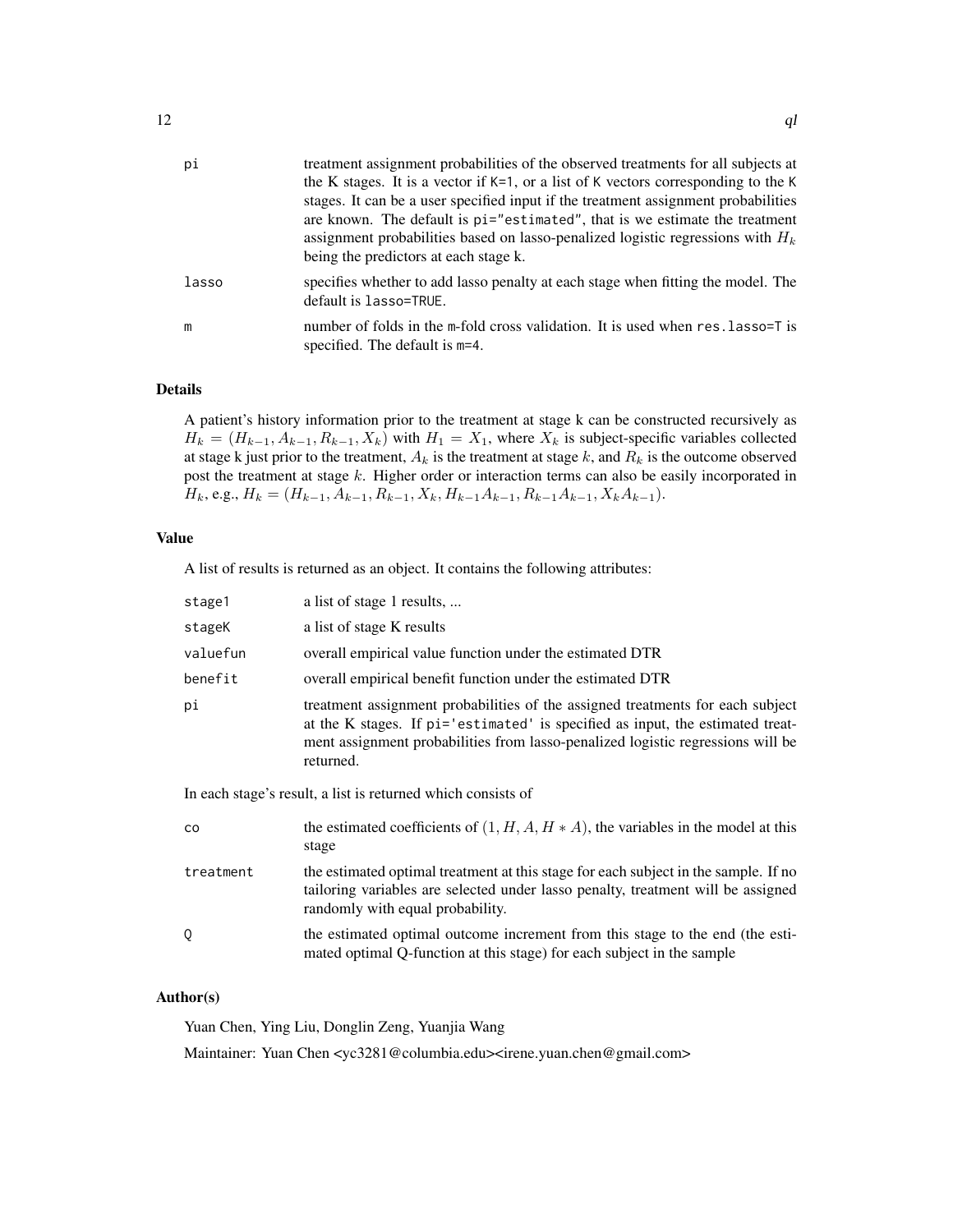| pi    | treatment assignment probabilities of the observed treatments for all subjects at                                 |
|-------|-------------------------------------------------------------------------------------------------------------------|
|       | the K stages. It is a vector if $K=1$ , or a list of K vectors corresponding to the K                             |
|       | stages. It can be a user specified input if the treatment assignment probabilities                                |
|       | are known. The default is pi="estimated", that is we estimate the treatment                                       |
|       | assignment probabilities based on lasso-penalized logistic regressions with $H_k$                                 |
|       | being the predictors at each stage k.                                                                             |
| lasso | specifies whether to add lasso penalty at each stage when fitting the model. The<br>default is lasso=TRUE.        |
| m     | number of folds in the m-fold cross validation. It is used when res. Lasso=T is<br>specified. The default is m=4. |

#### Details

A patient's history information prior to the treatment at stage k can be constructed recursively as  $H_k = (H_{k-1}, A_{k-1}, R_{k-1}, X_k)$  with  $H_1 = X_1$ , where  $X_k$  is subject-specific variables collected at stage k just prior to the treatment,  $A_k$  is the treatment at stage k, and  $R_k$  is the outcome observed post the treatment at stage k. Higher order or interaction terms can also be easily incorporated in  $H_k$ , e.g.,  $H_k = (H_{k-1}, A_{k-1}, R_{k-1}, X_k, H_{k-1}A_{k-1}, R_{k-1}A_{k-1}, X_kA_{k-1}).$ 

## Value

A list of results is returned as an object. It contains the following attributes:

| stage1                                                       | a list of stage 1 results,                                                                                                                                                                                                                                       |  |
|--------------------------------------------------------------|------------------------------------------------------------------------------------------------------------------------------------------------------------------------------------------------------------------------------------------------------------------|--|
| stageK                                                       | a list of stage K results                                                                                                                                                                                                                                        |  |
| valuefun                                                     | overall empirical value function under the estimated DTR                                                                                                                                                                                                         |  |
| benefit                                                      | overall empirical benefit function under the estimated DTR                                                                                                                                                                                                       |  |
| рi                                                           | treatment assignment probabilities of the assigned treatments for each subject<br>at the K stages. If pi='estimated' is specified as input, the estimated treat-<br>ment assignment probabilities from lasso-penalized logistic regressions will be<br>returned. |  |
| In each stage's result, a list is returned which consists of |                                                                                                                                                                                                                                                                  |  |
| co                                                           | the estimated coefficients of $(1, H, A, H * A)$ , the variables in the model at this<br>stage                                                                                                                                                                   |  |
| treatment                                                    | the estimated optimal treatment at this stage for each subject in the sample. If no<br>tailoring variables are selected under lasso penalty, treatment will be assigned<br>randomly with equal probability.                                                      |  |
|                                                              |                                                                                                                                                                                                                                                                  |  |
| Q                                                            | the estimated optimal outcome increment from this stage to the end (the esti-<br>mated optimal Q-function at this stage) for each subject in the sample                                                                                                          |  |

# Author(s)

Yuan Chen, Ying Liu, Donglin Zeng, Yuanjia Wang

Maintainer: Yuan Chen <yc3281@columbia.edu><irene.yuan.chen@gmail.com>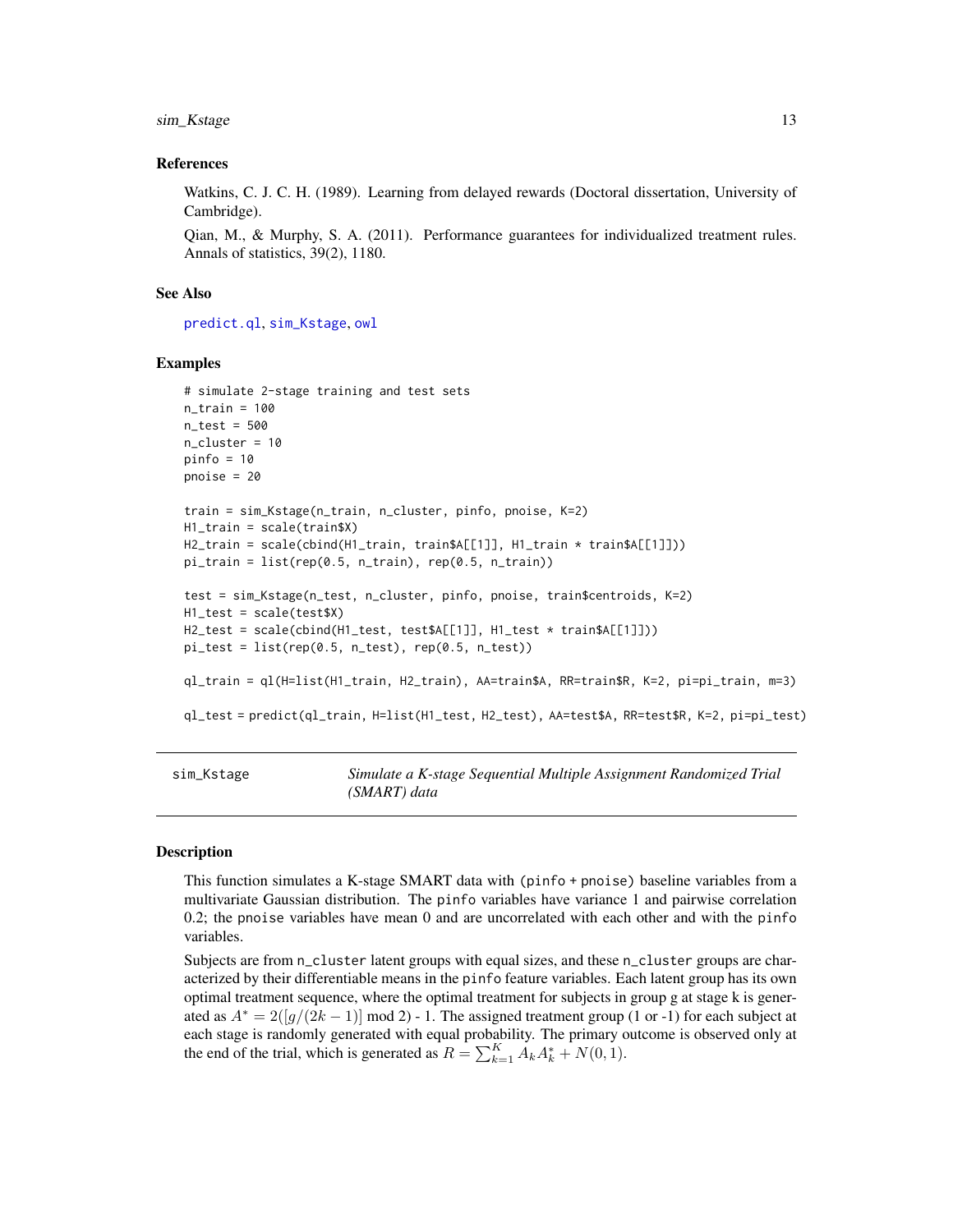<span id="page-12-0"></span>sim\_Kstage 13

#### References

Watkins, C. J. C. H. (1989). Learning from delayed rewards (Doctoral dissertation, University of Cambridge).

Qian, M., & Murphy, S. A. (2011). Performance guarantees for individualized treatment rules. Annals of statistics, 39(2), 1180.

#### See Also

[predict.ql](#page-8-1), [sim\\_Kstage](#page-12-1), [owl](#page-2-1)

#### Examples

```
# simulate 2-stage training and test sets
n_{\text{train}} = 100n_test = 500
n_cluster = 10
pinfo = 10
pnoise = 20
train = sim_Kstage(n_train, n_cluster, pinfo, pnoise, K=2)
H1_train = scale(train$X)
H2_train = scale(cbind(H1_train, train$A[[1]], H1_train * train$A[[1]]))
pi_{\text{train}} = list(rep(0.5, n_{\text{train}}), rep(0.5, n_{\text{train}}))test = sim_Kstage(n_test, n_cluster, pinfo, pnoise, train$centroids, K=2)
H1_test = scale(test$X)
H2_test = scale(cbind(H1_test, test$A[[1]], H1_test * train$A[[1]]))
pi_test = list(rep(0.5, n_test), rep(0.5, n_test))ql_train = ql(H=list(H1_train, H2_train), AA=train$A, RR=train$R, K=2, pi=pi_train, m=3)
ql_test = predict(ql_train, H=list(H1_test, H2_test), AA=test$A, RR=test$R, K=2, pi=pi_test)
```
<span id="page-12-1"></span>sim\_Kstage *Simulate a K-stage Sequential Multiple Assignment Randomized Trial (SMART) data*

### Description

This function simulates a K-stage SMART data with (pinfo + pnoise) baseline variables from a multivariate Gaussian distribution. The pinfo variables have variance 1 and pairwise correlation 0.2; the pnoise variables have mean 0 and are uncorrelated with each other and with the pinfo variables.

Subjects are from n\_cluster latent groups with equal sizes, and these n\_cluster groups are characterized by their differentiable means in the pinfo feature variables. Each latent group has its own optimal treatment sequence, where the optimal treatment for subjects in group g at stage k is generated as  $A^* = 2\left(\frac{g}{2k-1}\right) \mod 2$  - 1. The assigned treatment group (1 or -1) for each subject at each stage is randomly generated with equal probability. The primary outcome is observed only at the end of the trial, which is generated as  $R = \sum_{k=1}^{K} A_k A_k^* + N(0, 1)$ .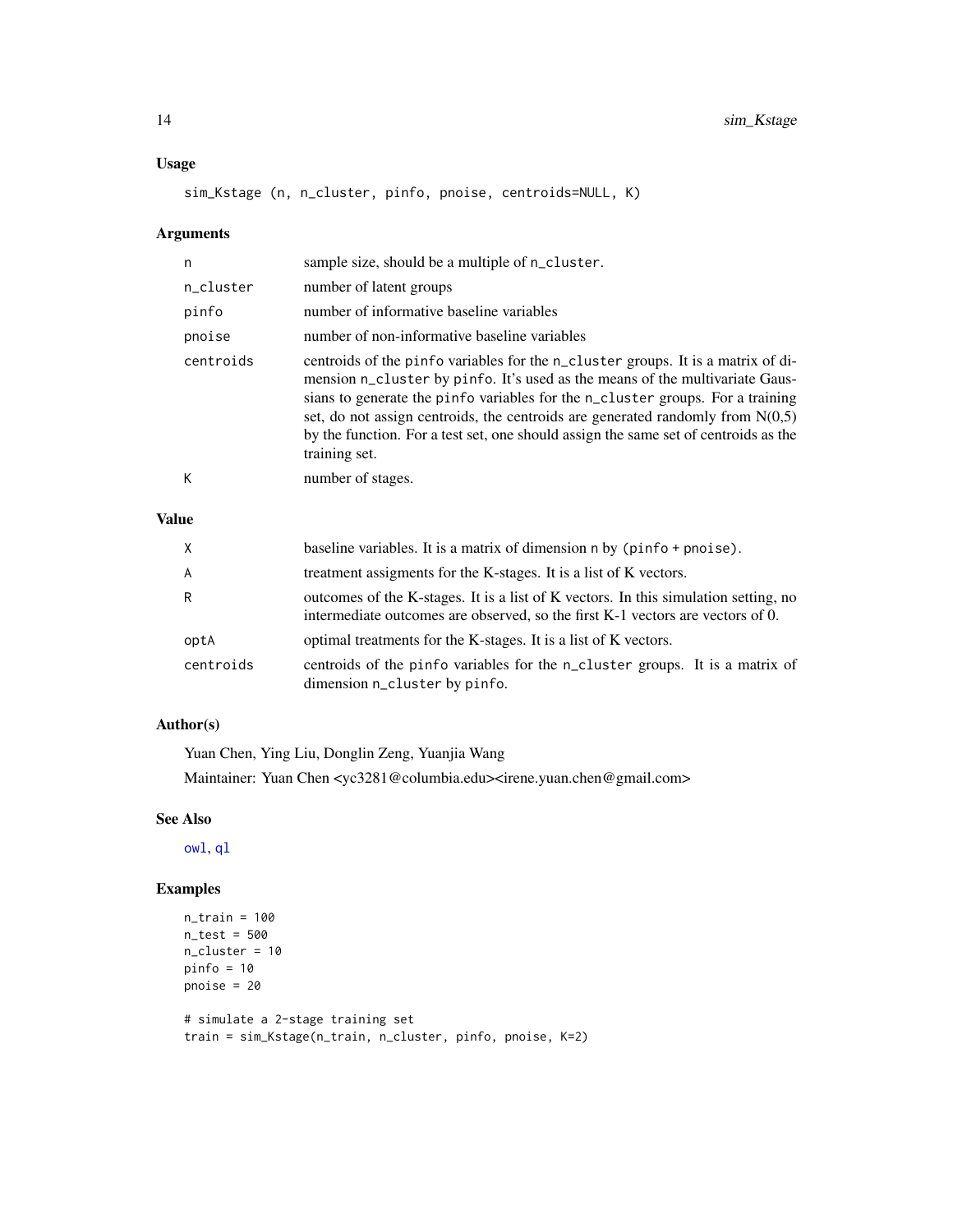## <span id="page-13-0"></span>Usage

sim\_Kstage (n, n\_cluster, pinfo, pnoise, centroids=NULL, K)

# Arguments

| n         | sample size, should be a multiple of n_cluster.                                                                                                                                                                                                                                                                                                                                                                                                |
|-----------|------------------------------------------------------------------------------------------------------------------------------------------------------------------------------------------------------------------------------------------------------------------------------------------------------------------------------------------------------------------------------------------------------------------------------------------------|
| n_cluster | number of latent groups                                                                                                                                                                                                                                                                                                                                                                                                                        |
| pinfo     | number of informative baseline variables                                                                                                                                                                                                                                                                                                                                                                                                       |
| pnoise    | number of non-informative baseline variables                                                                                                                                                                                                                                                                                                                                                                                                   |
| centroids | centroids of the pinfo variables for the n_cluster groups. It is a matrix of di-<br>mension n_cluster by pinfo. It's used as the means of the multivariate Gaus-<br>sians to generate the pinfo variables for the n_cluster groups. For a training<br>set, do not assign centroids, the centroids are generated randomly from $N(0,5)$<br>by the function. For a test set, one should assign the same set of centroids as the<br>training set. |
| К         | number of stages.                                                                                                                                                                                                                                                                                                                                                                                                                              |

# Value

| $\times$       | baseline variables. It is a matrix of dimension $n$ by (pinfo $+$ pnoise).                                                                                            |
|----------------|-----------------------------------------------------------------------------------------------------------------------------------------------------------------------|
| $\overline{A}$ | treatment assigments for the K-stages. It is a list of K vectors.                                                                                                     |
| R              | outcomes of the K-stages. It is a list of K vectors. In this simulation setting, no<br>intermediate outcomes are observed, so the first K-1 vectors are vectors of 0. |
| optA           | optimal treatments for the K-stages. It is a list of K vectors.                                                                                                       |
| centroids      | centroids of the pinfo variables for the n_cluster groups. It is a matrix of<br>dimension n_cluster by pinfo.                                                         |

# Author(s)

Yuan Chen, Ying Liu, Donglin Zeng, Yuanjia Wang Maintainer: Yuan Chen <yc3281@columbia.edu><irene.yuan.chen@gmail.com>

# See Also

[owl](#page-2-1), [ql](#page-10-1)

```
n_train = 100
n_test = 500
n_cluster = 10
pinfo = 10pnoise = 20
# simulate a 2-stage training set
train = sim_Kstage(n_train, n_cluster, pinfo, pnoise, K=2)
```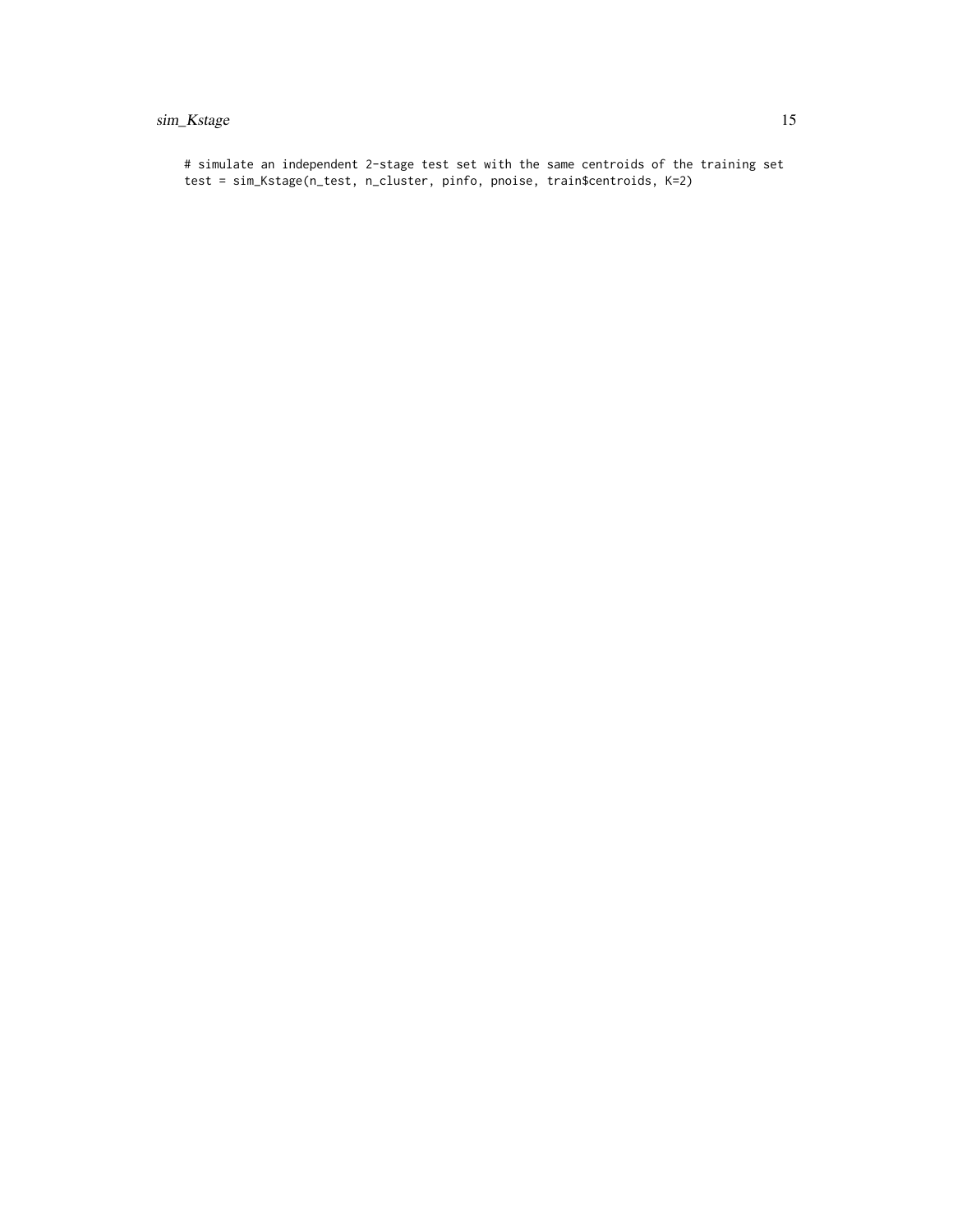# sim\_Kstage 15

# simulate an independent 2-stage test set with the same centroids of the training set test = sim\_Kstage(n\_test, n\_cluster, pinfo, pnoise, train\$centroids, K=2)